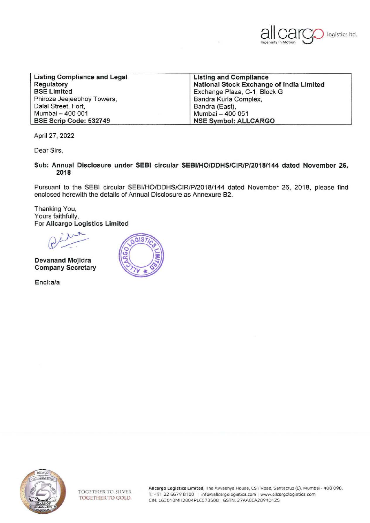

| <b>Listing Compliance and Legal</b> | <b>Listing and Compliance</b>            |
|-------------------------------------|------------------------------------------|
| <b>Regulatory</b>                   | National Stock Exchange of India Limited |
| <b>BSE Limited</b>                  | Exchange Plaza, C-1, Block G             |
| Phiroze Jeejeebhoy Towers,          | Bandra Kurla Complex,                    |
| Dalal Street, Fort,                 | Bandra (East),                           |
| Mumbai - 400 001                    | Mumbai - 400 051                         |
| BSE Scrip Code: 532749              | <b>NSE Symbol: ALLCARGO</b>              |

April 27, 2022

Dear Sirs,

**Sub: Annual Disclosure under SEBI circular SEBI/HO/DDHS/CIR/P/2018/144 dated November 26, 2018** 

Pursuant to the SEBI circular SEBI/HO/DDHS/CIR/P/2018/144 dated November 26, 2018, please find enclosed herewith the details of Annual Disclosure as Annexure 82.

Thanking You, Yours faithfully, For **Allcargo Logistics Limited** 

**Devanand Mojidra Company Secretary** 

**Encl:a/a**